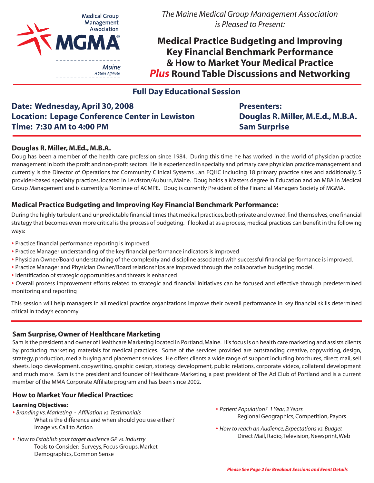

*The Maine Medical Group Management Association is Pleased to Present:*

**Medical Practice Budgeting and Improving Key Financial Benchmark Performance & How to Market Your Medical Practice** *Plus* **Round Table Discussions and Networking**

# **Full Day Educational Session**

# **Date: Wednesday, April 30, 2008 Location: Lepage Conference Center in Lewiston Time: 7:30 AM to 4:00 PM**

**Presenters: Douglas R. Miller, M.E.d., M.B.A. Sam Surprise**

### **Douglas R. Miller, M.Ed., M.B.A.**

Doug has been a member of the health care profession since 1984. During this time he has worked in the world of physician practice management in both the profit and non-profit sectors. He is experienced in specialty and primary care physician practice management and currently is the Director of Operations for Community Clinical Systems , an FQHC including 18 primary practice sites and additionally, 5 provider-based specialty practices, located in Lewiston/Auburn, Maine. Doug holds a Masters degree in Education and an MBA in Medical Group Management and is currently a Nominee of ACMPE. Doug is currently President of the Financial Managers Society of MGMA.

### **Medical Practice Budgeting and Improving Key Financial Benchmark Performance:**

During the highly turbulent and unpredictable financial times that medical practices, both private and owned, find themselves, one financial strategy that becomes even more critical is the process of budgeting. If looked at as a process, medical practices can benefit in the following ways:

- Practice financial performance reporting is improved
- Practice Manager understanding of the key financial performance indicators is improved
- Physician Owner/Board understanding of the complexity and discipline associated with successful financial performance is improved.
- Practice Manager and Physician Owner/Board relationships are improved through the collaborative budgeting model.
- Identification of strategic opportunities and threats is enhanced
- Overall process improvement efforts related to strategic and financial initiatives can be focused and effective through predetermined monitoring and reporting

This session will help managers in all medical practice organizations improve their overall performance in key financial skills determined critical in today's economy.

### **Sam Surprise, Owner of Healthcare Marketing**

Sam is the president and owner of Healthcare Marketing located in Portland, Maine. His focus is on health care marketing and assists clients by producing marketing materials for medical practices. Some of the services provided are outstanding creative, copywriting, design, strategy, production, media buying and placement services. He offers clients a wide range of support including brochures, direct mail, sell sheets, logo development, copywriting, graphic design, strategy development, public relations, corporate videos, collateral development and much more. Sam is the president and founder of Healthcare Marketing, a past president of The Ad Club of Portland and is a current member of the MMA Corporate Affiliate program and has been since 2002.

#### **How to Market Your Medical Practice:**

#### **Learning Objectives:**

- *Branding vs. Marketing Affiliation vs. Testimonials* What is the difference and when should you use either? Image vs. Call to Action
- *How to Establish your target audience GP vs. Industry* Tools to Consider: Surveys, Focus Groups, Market Demographics, Common Sense
- *Patient Population? 1 Year, 3 Years* Regional Geographics, Competition, Payors
- *How to reach an Audience, Expectations vs. Budget* Direct Mail, Radio, Television, Newsprint, Web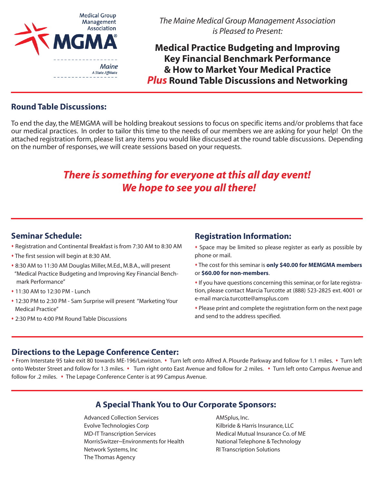

*The Maine Medical Group Management Association is Pleased to Present:*

**Medical Practice Budgeting and Improving Key Financial Benchmark Performance & How to Market Your Medical Practice** *Plus* **Round Table Discussions and Networking**

## **Round Table Discussions:**

To end the day, the MEMGMA will be holding breakout sessions to focus on specific items and/or problems that face our medical practices. In order to tailor this time to the needs of our members we are asking for your help! On the attached registration form, please list any items you would like discussed at the round table discussions. Depending on the number of responses, we will create sessions based on your requests.

# *There is something for everyone at this all day event! We hope to see you all there!*

## **Seminar Schedule:**

- Registration and Continental Breakfast is from 7:30 AM to 8:30 AM
- The first session will begin at 8:30 AM.
- 8:30 AM to 11:30 AM Douglas Miller, M.Ed., M.B.A., will present "Medical Practice Budgeting and Improving Key Financial Bench mark Performance"
- 11:30 AM to 12:30 PM Lunch
- 12:30 PM to 2:30 PM Sam Surprise will present "Marketing Your Medical Practice"
- 2:30 PM to 4:00 PM Round Table Discussions

## **Registration Information:**

- Space may be limited so please register as early as possible by phone or mail.
- The cost for this seminar is **only \$40.00 for MEMGMA members** or **\$60.00 for non-members**.
- If you have questions concerning this seminar, or for late registration, please contact Marcia Turcotte at (888) 523-2825 ext. 4001 or e-mail marcia.turcotte@amsplus.com
- Please print and complete the registration form on the next page and send to the address specified.

### **Directions to the Lepage Conference Center:**

• From Interstate 95 take exit 80 towards ME-196/Lewiston. • Turn left onto Alfred A. Plourde Parkway and follow for 1.1 miles. • Turn left onto Webster Street and follow for 1.3 miles. • Turn right onto East Avenue and follow for .2 miles. • Turn left onto Campus Avenue and follow for .2 miles. • The Lepage Conference Center is at 99 Campus Avenue.

# **A Special Thank You to Our Corporate Sponsors:**

Advanced Collection Services **AMSplus, Inc.** Evolve Technologies Corp **Example 2** Kilbride & Harris Insurance, LLC MD-IT Transcription Services Medical Mutual Insurance Co. of ME MorrisSwitzer~Environments for Health National Telephone & Technology Network Systems, Inc **Network Systems**, Inc The Thomas Agency